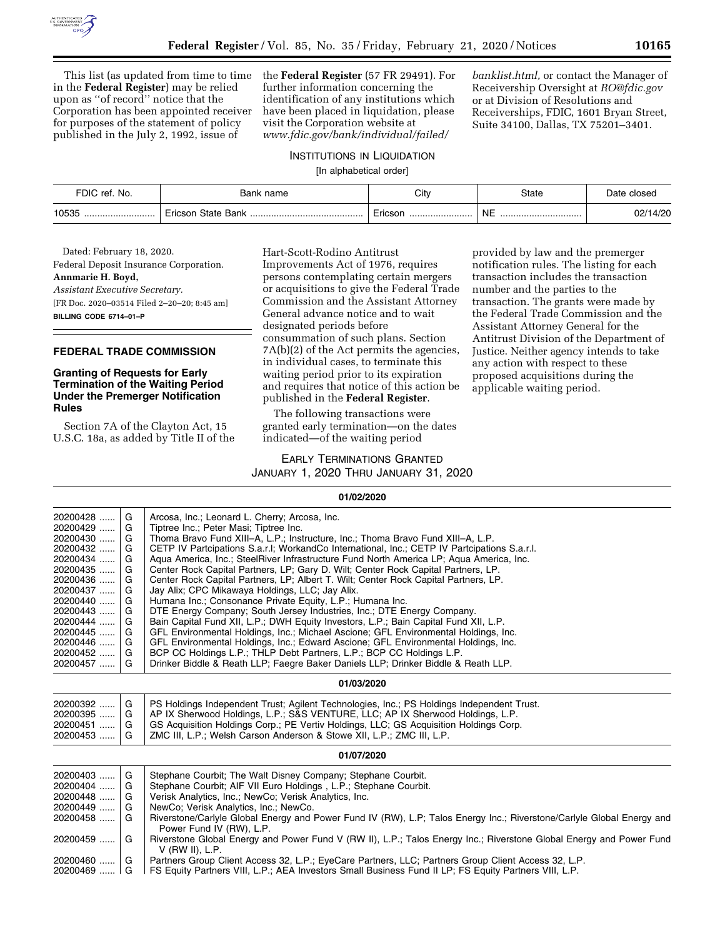

This list (as updated from time to time in the **Federal Register**) may be relied upon as ''of record'' notice that the Corporation has been appointed receiver for purposes of the statement of policy published in the July 2, 1992, issue of

the **Federal Register** (57 FR 29491). For further information concerning the identification of any institutions which have been placed in liquidation, please visit the Corporation website at *www.fdic.gov/bank/individual/failed/* 

*banklist.html,* or contact the Manager of Receivership Oversight at *RO@fdic.gov*  or at Division of Resolutions and Receiverships, FDIC, 1601 Bryan Street, Suite 34100, Dallas, TX 75201–3401.

# INSTITUTIONS IN LIQUIDATION

[In alphabetical order]

| FDIC ref. No. | Bank name          | City    | State          | Date closed |
|---------------|--------------------|---------|----------------|-------------|
| 10535<br>     | Ericson State Bank | Ericsor | <b>NE</b><br>. | 02/14/20    |

Dated: February 18, 2020. Federal Deposit Insurance Corporation. **Annmarie H. Boyd,**  *Assistant Executive Secretary.*  [FR Doc. 2020–03514 Filed 2–20–20; 8:45 am] **BILLING CODE 6714–01–P** 

### **FEDERAL TRADE COMMISSION**

### **Granting of Requests for Early Termination of the Waiting Period Under the Premerger Notification Rules**

Section 7A of the Clayton Act, 15 U.S.C. 18a, as added by Title II of the

Hart-Scott-Rodino Antitrust Improvements Act of 1976, requires persons contemplating certain mergers or acquisitions to give the Federal Trade Commission and the Assistant Attorney General advance notice and to wait designated periods before consummation of such plans. Section 7A(b)(2) of the Act permits the agencies, in individual cases, to terminate this waiting period prior to its expiration and requires that notice of this action be published in the **Federal Register**.

The following transactions were granted early termination—on the dates indicated—of the waiting period

provided by law and the premerger notification rules. The listing for each transaction includes the transaction number and the parties to the transaction. The grants were made by the Federal Trade Commission and the Assistant Attorney General for the Antitrust Division of the Department of Justice. Neither agency intends to take any action with respect to these proposed acquisitions during the applicable waiting period.

#### EARLY TERMINATIONS GRANTED

JANUARY 1, 2020 THRU JANUARY 31, 2020

#### **01/02/2020**

| 20200428     | G | Arcosa, Inc.; Leonard L. Cherry; Arcosa, Inc.                                                                         |  |  |
|--------------|---|-----------------------------------------------------------------------------------------------------------------------|--|--|
| 20200429     | G | Tiptree Inc.; Peter Masi; Tiptree Inc.                                                                                |  |  |
| 20200430     | G | Thoma Bravo Fund XIII-A, L.P.; Instructure, Inc.; Thoma Bravo Fund XIII-A, L.P.                                       |  |  |
| 20200432     | G | CETP IV Partcipations S.a.r.l; WorkandCo International, Inc.; CETP IV Partcipations S.a.r.l.                          |  |  |
| $20200434$   | G | Agua America, Inc.; SteelRiver Infrastructure Fund North America LP; Agua America, Inc.                               |  |  |
| 20200435     | G | Center Rock Capital Partners, LP; Gary D. Wilt; Center Rock Capital Partners, LP.                                     |  |  |
| 20200436     | G | Center Rock Capital Partners, LP; Albert T. Wilt; Center Rock Capital Partners, LP.                                   |  |  |
| 20200437     | G | Jay Alix; CPC Mikawaya Holdings, LLC; Jay Alix.                                                                       |  |  |
| 20200440     | G | Humana Inc.; Consonance Private Equity, L.P.; Humana Inc.                                                             |  |  |
| $20200443$   | G | DTE Energy Company; South Jersey Industries, Inc.; DTE Energy Company.                                                |  |  |
| $20200444$ G |   | Bain Capital Fund XII, L.P.; DWH Equity Investors, L.P.; Bain Capital Fund XII, L.P.                                  |  |  |
| $20200445$ G |   | GFL Environmental Holdings, Inc.; Michael Ascione; GFL Environmental Holdings, Inc.                                   |  |  |
| 20200446  G  |   | GFL Environmental Holdings, Inc.; Edward Ascione; GFL Environmental Holdings, Inc.                                    |  |  |
| 20200452     | G | BCP CC Holdings L.P.; THLP Debt Partners, L.P.; BCP CC Holdings L.P.                                                  |  |  |
| 20200457     | G | Drinker Biddle & Reath LLP; Faegre Baker Daniels LLP; Drinker Biddle & Reath LLP.                                     |  |  |
|              |   | 01/03/2020                                                                                                            |  |  |
| 20200392     | G | PS Holdings Independent Trust; Agilent Technologies, Inc.; PS Holdings Independent Trust.                             |  |  |
| $20200395$ G |   | AP IX Sherwood Holdings, L.P.; S&S VENTURE, LLC; AP IX Sherwood Holdings, L.P.                                        |  |  |
| $20200451$ G |   | GS Acquisition Holdings Corp.; PE Vertiv Holdings, LLC; GS Acquisition Holdings Corp.                                 |  |  |
| 20200453     |   | ZMC III, L.P.; Welsh Carson Anderson & Stowe XII, L.P.; ZMC III, L.P.                                                 |  |  |
|              |   | 01/07/2020                                                                                                            |  |  |
| 20200403     | G | Stephane Courbit; The Walt Disney Company; Stephane Courbit.                                                          |  |  |
| 20200404     | G | Stephane Courbit; AIF VII Euro Holdings, L.P.; Stephane Courbit.                                                      |  |  |
| $20200448$ G |   | Verisk Analytics, Inc.; NewCo; Verisk Analytics, Inc.                                                                 |  |  |
| $20200449$ G |   | NewCo; Verisk Analytics, Inc.; NewCo.                                                                                 |  |  |
| 20200458     |   | Riverstone/Carlyle Global Energy and Power Fund IV (RW), L.P; Talos Energy Inc.; Riverstone/Carlyle Global Energy and |  |  |
|              |   | Power Fund IV (RW), L.P.                                                                                              |  |  |
| 20200459     | G | Riverstone Global Energy and Power Fund V (RW II), L.P.; Talos Energy Inc.; Riverstone Global Energy and Power Fund   |  |  |
|              |   | $V$ (RW II), L.P.                                                                                                     |  |  |
| 20200460     | G | Partners Group Client Access 32, L.P.; EyeCare Partners, LLC; Partners Group Client Access 32, L.P.                   |  |  |

20200469 ...... G FS Equity Partners VIII, L.P.; AEA Investors Small Business Fund II LP; FS Equity Partners VIII, L.P.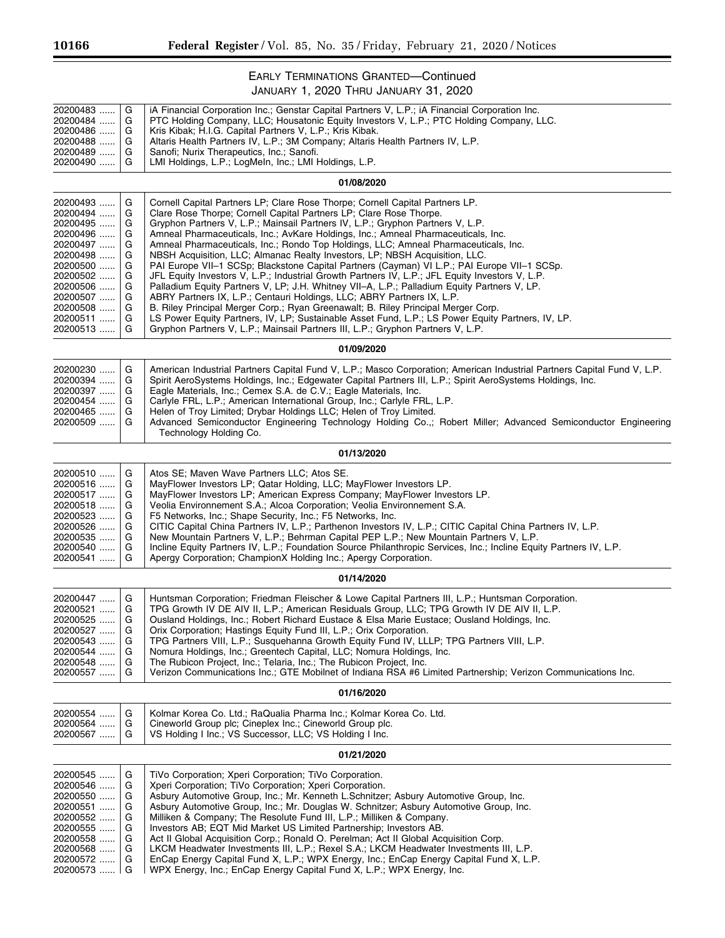۳

# EARLY TERMINATIONS GRANTED—Continued JANUARY 1, 2020 THRU JANUARY 31, 2020

| 20200483<br>20200484 | G<br>G | iA Financial Corporation Inc.; Genstar Capital Partners V, L.P.; iA Financial Corporation Inc.<br>PTC Holding Company, LLC; Housatonic Equity Investors V, L.P.; PTC Holding Company, LLC. |  |  |
|----------------------|--------|--------------------------------------------------------------------------------------------------------------------------------------------------------------------------------------------|--|--|
| 20200486<br>20200488 | G<br>G | Kris Kibak; H.I.G. Capital Partners V, L.P.; Kris Kibak.<br>Altaris Health Partners IV, L.P.; 3M Company; Altaris Health Partners IV, L.P.                                                 |  |  |
| 20200489<br>20200490 | G<br>G | Sanofi; Nurix Therapeutics, Inc.; Sanofi.<br>LMI Holdings, L.P.; LogMeIn, Inc.; LMI Holdings, L.P.                                                                                         |  |  |
| 01/08/2020           |        |                                                                                                                                                                                            |  |  |
| 20200493<br>20200494 | G<br>G | Cornell Capital Partners LP; Clare Rose Thorpe; Cornell Capital Partners LP.<br>Clare Rose Thorpe; Cornell Capital Partners LP; Clare Rose Thorpe.                                         |  |  |
| 20200495             | G      | Gryphon Partners V, L.P.; Mainsail Partners IV, L.P.; Gryphon Partners V, L.P.                                                                                                             |  |  |
| 20200496             | G      | Amneal Pharmaceuticals, Inc.; AvKare Holdings, Inc.; Amneal Pharmaceuticals, Inc.                                                                                                          |  |  |
| 20200497<br>20200498 | G<br>G | Amneal Pharmaceuticals, Inc.; Rondo Top Holdings, LLC; Amneal Pharmaceuticals, Inc.<br>NBSH Acquisition, LLC; Almanac Realty Investors, LP; NBSH Acquisition, LLC.                         |  |  |
| 20200500             | G      | PAI Europe VII-1 SCSp; Blackstone Capital Partners (Cayman) VI L.P.; PAI Europe VII-1 SCSp.                                                                                                |  |  |
| 20200502             | G      | JFL Equity Investors V, L.P.; Industrial Growth Partners IV, L.P.; JFL Equity Investors V, L.P.                                                                                            |  |  |
| 20200506<br>20200507 | G<br>G | Palladium Equity Partners V, LP; J.H. Whitney VII-A, L.P.; Palladium Equity Partners V, LP.<br>ABRY Partners IX, L.P.; Centauri Holdings, LLC; ABRY Partners IX, L.P.                      |  |  |
| 20200508             | G      | B. Riley Principal Merger Corp.; Ryan Greenawalt; B. Riley Principal Merger Corp.                                                                                                          |  |  |
| 20200511             | G      | LS Power Equity Partners, IV, LP; Sustainable Asset Fund, L.P.; LS Power Equity Partners, IV, LP.                                                                                          |  |  |
| 20200513             | G      | Gryphon Partners V, L.P.; Mainsail Partners III, L.P.; Gryphon Partners V, L.P.                                                                                                            |  |  |
|                      |        | 01/09/2020                                                                                                                                                                                 |  |  |
| 20200230             | G      | American Industrial Partners Capital Fund V, L.P.; Masco Corporation; American Industrial Partners Capital Fund V, L.P.                                                                    |  |  |
| 20200394<br>20200397 | G<br>G | Spirit AeroSystems Holdings, Inc.; Edgewater Capital Partners III, L.P.; Spirit AeroSystems Holdings, Inc.<br>Eagle Materials, Inc.; Cemex S.A. de C.V.; Eagle Materials, Inc.             |  |  |
| 20200454             | G      | Carlyle FRL, L.P.; American International Group, Inc.; Carlyle FRL, L.P.                                                                                                                   |  |  |
| 20200465             | G      | Helen of Troy Limited; Drybar Holdings LLC; Helen of Troy Limited.                                                                                                                         |  |  |
| 20200509             | G      | Advanced Semiconductor Engineering Technology Holding Co.,; Robert Miller; Advanced Semiconductor Engineering<br>Technology Holding Co.                                                    |  |  |
|                      |        | 01/13/2020                                                                                                                                                                                 |  |  |
| 20200510             | G      | Atos SE; Maven Wave Partners LLC; Atos SE.                                                                                                                                                 |  |  |
| 20200516             | G      | MayFlower Investors LP; Qatar Holding, LLC; MayFlower Investors LP.                                                                                                                        |  |  |
| 20200517<br>20200518 | G<br>G | MayFlower Investors LP; American Express Company; MayFlower Investors LP.<br>Veolia Environnement S.A.; Alcoa Corporation; Veolia Environnement S.A.                                       |  |  |
| 20200523             | G      | F5 Networks, Inc.; Shape Security, Inc.; F5 Networks, Inc.                                                                                                                                 |  |  |
| 20200526             | G      | CITIC Capital China Partners IV, L.P.; Parthenon Investors IV, L.P.; CITIC Capital China Partners IV, L.P.                                                                                 |  |  |
| 20200535<br>20200540 | G<br>G | New Mountain Partners V, L.P.; Behrman Capital PEP L.P.; New Mountain Partners V, L.P.                                                                                                     |  |  |
| 20200541             | G      | Incline Equity Partners IV, L.P.; Foundation Source Philanthropic Services, Inc.; Incline Equity Partners IV, L.P.<br>Apergy Corporation; ChampionX Holding Inc.; Apergy Corporation.      |  |  |
|                      |        | 01/14/2020                                                                                                                                                                                 |  |  |
| 20200447             | G      | Huntsman Corporation; Friedman Fleischer & Lowe Capital Partners III, L.P.; Huntsman Corporation.                                                                                          |  |  |
| 20200521             | G      | TPG Growth IV DE AIV II, L.P.; American Residuals Group, LLC; TPG Growth IV DE AIV II, L.P.                                                                                                |  |  |
| 20200525<br>20200527 | G<br>G | Ousland Holdings, Inc.; Robert Richard Eustace & Elsa Marie Eustace; Ousland Holdings, Inc.<br>Orix Corporation; Hastings Equity Fund III, L.P.; Orix Corporation.                         |  |  |
| 20200543             | G      | TPG Partners VIII, L.P.; Susquehanna Growth Equity Fund IV, LLLP; TPG Partners VIII, L.P.                                                                                                  |  |  |
| 20200544             | G      | Nomura Holdings, Inc.; Greentech Capital, LLC; Nomura Holdings, Inc.                                                                                                                       |  |  |
| 20200548<br>20200557 | G<br>G | The Rubicon Project, Inc.; Telaria, Inc.; The Rubicon Project, Inc.<br>Verizon Communications Inc.; GTE Mobilnet of Indiana RSA #6 Limited Partnership; Verizon Communications Inc.        |  |  |
|                      |        | 01/16/2020                                                                                                                                                                                 |  |  |
| 20200554             | G      | Kolmar Korea Co. Ltd.; RaQualia Pharma Inc.; Kolmar Korea Co. Ltd.                                                                                                                         |  |  |
| 20200564             | G      | Cineworld Group plc; Cineplex Inc.; Cineworld Group plc.                                                                                                                                   |  |  |
| 20200567             | G      | VS Holding I Inc.; VS Successor, LLC; VS Holding I Inc.                                                                                                                                    |  |  |
|                      |        | 01/21/2020                                                                                                                                                                                 |  |  |
| 20200545             | G      | TiVo Corporation; Xperi Corporation; TiVo Corporation.                                                                                                                                     |  |  |
| 20200546<br>20200550 | G<br>G | Xperi Corporation; TiVo Corporation; Xperi Corporation.<br>Asbury Automotive Group, Inc.; Mr. Kenneth L.Schnitzer; Asbury Automotive Group, Inc.                                           |  |  |
| 20200551             | G      | Asbury Automotive Group, Inc.; Mr. Douglas W. Schnitzer; Asbury Automotive Group, Inc.                                                                                                     |  |  |
| 20200552             | G      | Milliken & Company; The Resolute Fund III, L.P.; Milliken & Company.                                                                                                                       |  |  |
| 20200555             | G      | Investors AB; EQT Mid Market US Limited Partnership; Investors AB.                                                                                                                         |  |  |
| 20200558<br>20200568 | G<br>G | Act II Global Acquisition Corp.; Ronald O. Perelman; Act II Global Acquisition Corp.<br>LKCM Headwater Investments III, L.P.; Rexel S.A.; LKCM Headwater Investments III, L.P.             |  |  |
| 20200572             | G      | EnCap Energy Capital Fund X, L.P.; WPX Energy, Inc.; EnCap Energy Capital Fund X, L.P.                                                                                                     |  |  |
| 20200573             | G      | WPX Energy, Inc.; EnCap Energy Capital Fund X, L.P.; WPX Energy, Inc.                                                                                                                      |  |  |